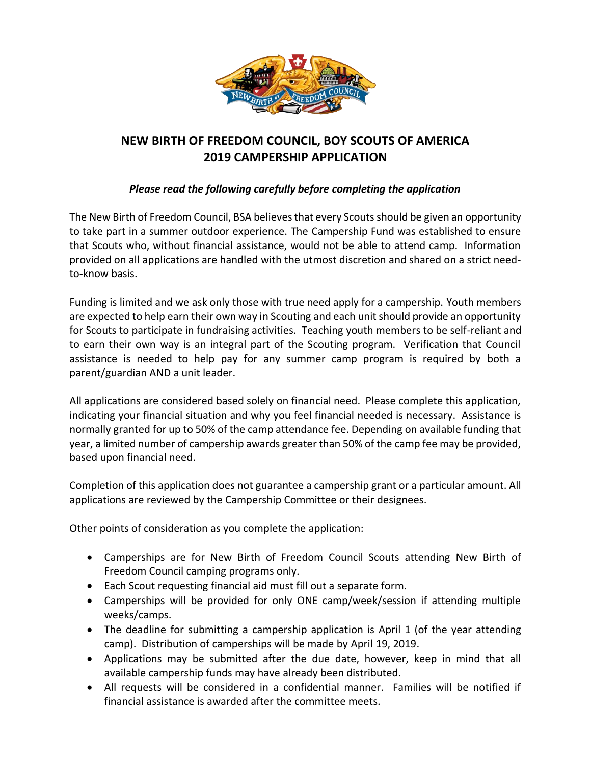

## **NEW BIRTH OF FREEDOM COUNCIL, BOY SCOUTS OF AMERICA 2019 CAMPERSHIP APPLICATION**

## *Please read the following carefully before completing the application*

The New Birth of Freedom Council, BSA believes that every Scouts should be given an opportunity to take part in a summer outdoor experience. The Campership Fund was established to ensure that Scouts who, without financial assistance, would not be able to attend camp. Information provided on all applications are handled with the utmost discretion and shared on a strict needto-know basis.

Funding is limited and we ask only those with true need apply for a campership. Youth members are expected to help earn their own way in Scouting and each unit should provide an opportunity for Scouts to participate in fundraising activities. Teaching youth members to be self-reliant and to earn their own way is an integral part of the Scouting program. Verification that Council assistance is needed to help pay for any summer camp program is required by both a parent/guardian AND a unit leader.

All applications are considered based solely on financial need. Please complete this application, indicating your financial situation and why you feel financial needed is necessary. Assistance is normally granted for up to 50% of the camp attendance fee. Depending on available funding that year, a limited number of campership awards greater than 50% of the camp fee may be provided, based upon financial need.

Completion of this application does not guarantee a campership grant or a particular amount. All applications are reviewed by the Campership Committee or their designees.

Other points of consideration as you complete the application:

- Camperships are for New Birth of Freedom Council Scouts attending New Birth of Freedom Council camping programs only.
- Each Scout requesting financial aid must fill out a separate form.
- Camperships will be provided for only ONE camp/week/session if attending multiple weeks/camps.
- The deadline for submitting a campership application is April 1 (of the year attending camp). Distribution of camperships will be made by April 19, 2019.
- Applications may be submitted after the due date, however, keep in mind that all available campership funds may have already been distributed.
- All requests will be considered in a confidential manner. Families will be notified if financial assistance is awarded after the committee meets.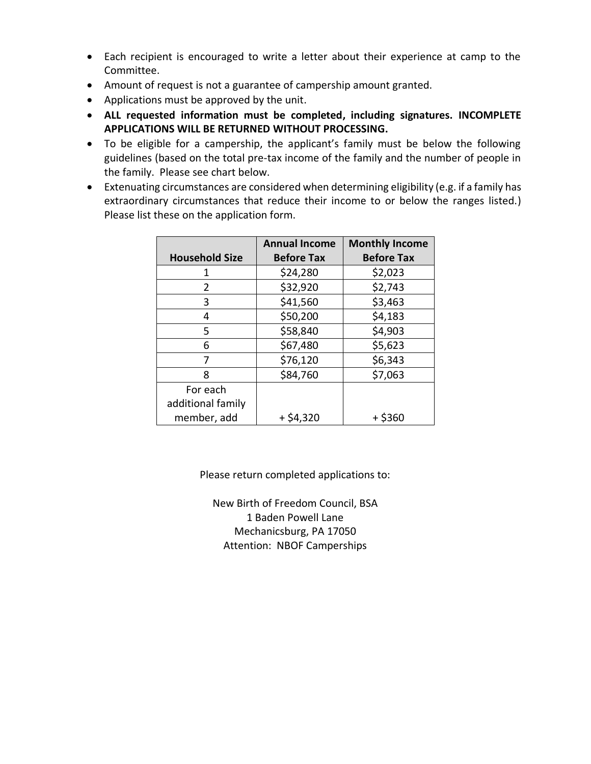- Each recipient is encouraged to write a letter about their experience at camp to the Committee.
- Amount of request is not a guarantee of campership amount granted.
- Applications must be approved by the unit.
- **ALL requested information must be completed, including signatures. INCOMPLETE APPLICATIONS WILL BE RETURNED WITHOUT PROCESSING.**
- To be eligible for a campership, the applicant's family must be below the following guidelines (based on the total pre-tax income of the family and the number of people in the family. Please see chart below.
- Extenuating circumstances are considered when determining eligibility (e.g. if a family has extraordinary circumstances that reduce their income to or below the ranges listed.) Please list these on the application form.

|                                  | <b>Annual Income</b> | <b>Monthly Income</b> |
|----------------------------------|----------------------|-----------------------|
| <b>Household Size</b>            | <b>Before Tax</b>    | <b>Before Tax</b>     |
| 1                                | \$24,280             | \$2,023               |
| 2                                | \$32,920             | \$2,743               |
| 3                                | \$41,560             | \$3,463               |
| 4                                | \$50,200             | \$4,183               |
| 5                                | \$58,840             | \$4,903               |
| 6                                | \$67,480             | \$5,623               |
| 7                                | \$76,120             | \$6,343               |
| ጸ                                | \$84,760             | \$7,063               |
| For each                         |                      |                       |
| additional family<br>member, add | $+ $4,320$           | $+$ \$360             |

Please return completed applications to:

New Birth of Freedom Council, BSA 1 Baden Powell Lane Mechanicsburg, PA 17050 Attention: NBOF Camperships